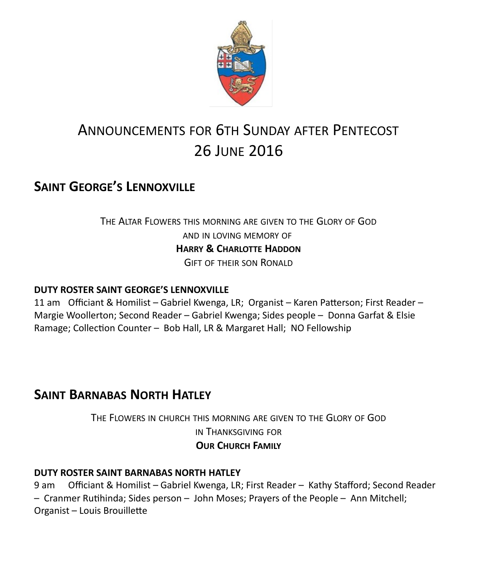

# ANNOUNCEMENTS FOR 6TH SUNDAY AFTER PENTECOST 26 JUNE 2016

# **SAINT GEORGE'S LENNOXVILLE**

### THE ALTAR FLOWERS THIS MORNING ARE GIVEN TO THE GLORY OF GOD AND IN LOVING MEMORY OF **HARRY & CHARLOTTE HADDON** GIFT OF THEIR SON RONALD

#### **DUTY ROSTER SAINT GEORGE'S LENNOXVILLE**

11 am Officiant & Homilist – Gabriel Kwenga, LR; Organist – Karen Patterson; First Reader – Margie Woollerton; Second Reader – Gabriel Kwenga; Sides people – Donna Garfat & Elsie Ramage; Collection Counter – Bob Hall, LR & Margaret Hall; NO Fellowship

### **SAINT BARNABAS NORTH HATLEY**

THE FLOWERS IN CHURCH THIS MORNING ARE GIVEN TO THE GLORY OF GOD IN THANKSGIVING FOR **OUR CHURCH FAMILY**

#### **DUTY ROSTER SAINT BARNABAS NORTH HATLEY**

9 am Officiant & Homilist – Gabriel Kwenga, LR; First Reader – Kathy Stafford; Second Reader – Cranmer Rutihinda; Sides person – John Moses; Prayers of the People – Ann Mitchell; Organist – Louis Brouillette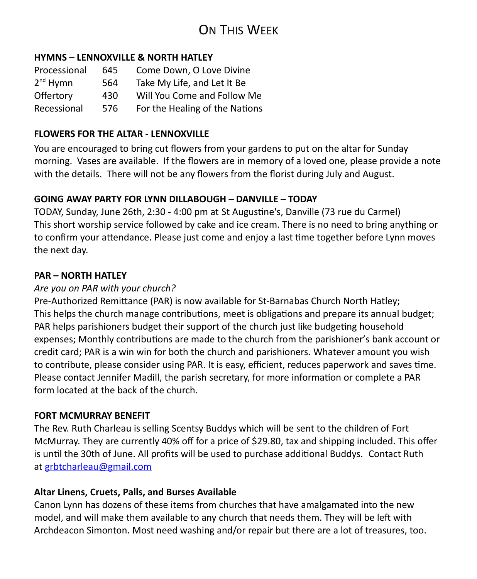# ON THIS WEEK

#### **HYMNS – LENNOXVILLE & NORTH HATLEY**

| Processional  | 645 | Come Down, O Love Divine       |  |
|---------------|-----|--------------------------------|--|
| $2^{nd}$ Hymn | 564 | Take My Life, and Let It Be    |  |
| Offertory     | 430 | Will You Come and Follow Me    |  |
| Recessional   | 576 | For the Healing of the Nations |  |

#### **FLOWERS FOR THE ALTAR - LENNOXVILLE**

You are encouraged to bring cut flowers from your gardens to put on the altar for Sunday morning. Vases are available. If the flowers are in memory of a loved one, please provide a note with the details. There will not be any flowers from the florist during July and August.

#### **GOING AWAY PARTY FOR LYNN DILLABOUGH – DANVILLE – TODAY**

TODAY, Sunday, June 26th, 2:30 - 4:00 pm at St Augustine's, Danville (73 rue du Carmel) This short worship service followed by cake and ice cream. There is no need to bring anything or to confirm your attendance. Please just come and enjoy a last time together before Lynn moves the next day.

#### **PAR – NORTH HATLEY**

#### *Are you on PAR with your church?*

Pre-Authorized Remittance (PAR) is now available for St-Barnabas Church North Hatley; This helps the church manage contributions, meet is obligations and prepare its annual budget; PAR helps parishioners budget their support of the church just like budgeting household expenses; Monthly contributions are made to the church from the parishioner's bank account or credit card; PAR is a win win for both the church and parishioners. Whatever amount you wish to contribute, please consider using PAR. It is easy, efficient, reduces paperwork and saves time. Please contact Jennifer Madill, the parish secretary, for more information or complete a PAR form located at the back of the church.

#### **FORT MCMURRAY BENEFIT**

The Rev. Ruth Charleau is selling Scentsy Buddys which will be sent to the children of Fort McMurray. They are currently 40% off for a price of \$29.80, tax and shipping included. This offer is until the 30th of June. All profits will be used to purchase additional Buddys. Contact Ruth at [grbtcharleau@gmail.com](https://webmail.ubishops.ca/owa/redir.aspx?REF=tJp9qmjBtNAKNPov2t1Ue_QfBpmxbMyBdbT-LVLHh-nfKiBY_prTCAFtYWlsdG86Z3JidGNoYXJsZWF1QGdtYWlsLmNvbQ..)

#### **Altar Linens, Cruets, Palls, and Burses Available**

Canon Lynn has dozens of these items from churches that have amalgamated into the new model, and will make them available to any church that needs them. They will be left with Archdeacon Simonton. Most need washing and/or repair but there are a lot of treasures, too.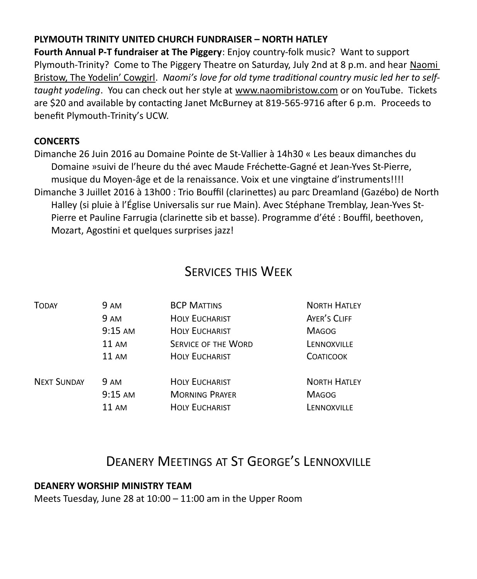#### **PLYMOUTH TRINITY UNITED CHURCH FUNDRAISER – NORTH HATLEY**

**Fourth Annual P-T fundraiser at The Piggery**: Enjoy country-folk music? Want to support Plymouth-Trinity? Come to The Piggery Theatre on Saturday, July 2nd at 8 p.m. and hear Naomi Bristow, The Yodelin' Cowgirl. *Naomi's love for old tyme traditional country music led her to selftaught yodeling*. You can check out her style at [www.naomibristow.com](https://webmail.ubishops.ca/owa/redir.aspx?REF=NQKowh0lFeU5Lt9KZwKn5VdvJF9k6inWjGk_sTs517uMKDLz45XTCAFodHRwOi8vd3d3Lm5hb21pYnJpc3Rvdy5jb20v) or on YouTube. Tickets are \$20 and available by contacting Janet McBurney at 819-565-9716 after 6 p.m. Proceeds to benefit Plymouth-Trinity's UCW.

#### **CONCERTS**

Dimanche 26 Juin 2016 au Domaine Pointe de St-Vallier à 14h30 « Les beaux dimanches du Domaine »suivi de l'heure du thé avec Maude Fréchette-Gagné et Jean-Yves St-Pierre, musique du Moyen-âge et de la renaissance. Voix et une vingtaine d'instruments!!!! Dimanche 3 Juillet 2016 à 13h00 : Trio Bouffil (clarinettes) au parc Dreamland (Gazébo) de North Halley (si pluie à l'Église Universalis sur rue Main). Avec Stéphane Tremblay, Jean-Yves St-Pierre et Pauline Farrugia (clarinette sib et basse). Programme d'été : Bouffil, beethoven, Mozart, Agostini et quelques surprises jazz!

### SERVICES THIS WEEK

| <b>TODAY</b>       | 9 AM         | <b>BCP MATTINS</b>         | <b>NORTH HATLEY</b> |
|--------------------|--------------|----------------------------|---------------------|
|                    | 9 AM         | <b>HOLY EUCHARIST</b>      | AYER'S CLIFF        |
|                    | $9:15$ AM    | <b>HOLY EUCHARIST</b>      | <b>MAGOG</b>        |
|                    | 11 AM        | <b>SERVICE OF THE WORD</b> | LENNOXVILLE         |
|                    | <b>11 AM</b> | <b>HOLY EUCHARIST</b>      | <b>COATICOOK</b>    |
| <b>NEXT SUNDAY</b> | <b>9 AM</b>  | <b>HOLY EUCHARIST</b>      | <b>NORTH HATLEY</b> |
|                    | 9:15 AM      | <b>MORNING PRAYER</b>      | <b>MAGOG</b>        |
|                    | 11 AM        | <b>HOLY EUCHARIST</b>      | LENNOXVILLE         |
|                    |              |                            |                     |

# DEANERY MEETINGS AT ST GEORGE'S LENNOXVILLE

#### **DEANERY WORSHIP MINISTRY TEAM**

Meets Tuesday, June 28 at 10:00 – 11:00 am in the Upper Room